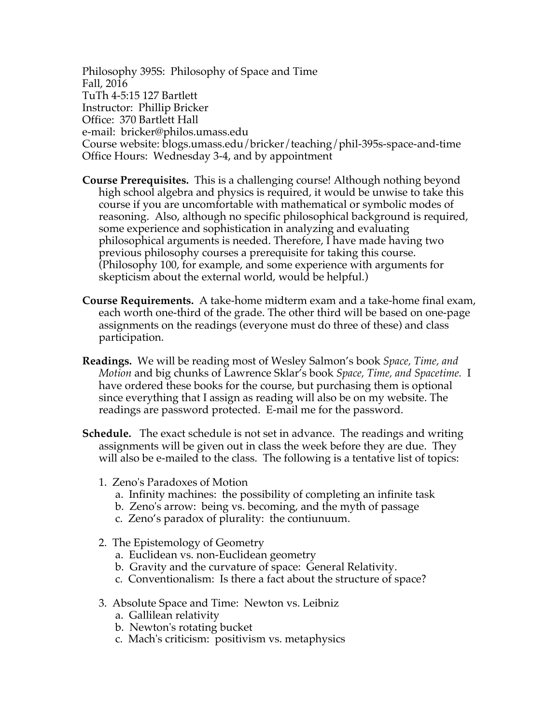Philosophy 395S: Philosophy of Space and Time Fall, 2016 TuTh 4-5:15 127 Bartlett Instructor: Phillip Bricker Office: 370 Bartlett Hall e-mail: bricker@philos.umass.edu Course website: blogs.umass.edu/bricker/teaching/phil-395s-space-and-time Office Hours: Wednesday 3-4, and by appointment

- **Course Prerequisites.** This is a challenging course! Although nothing beyond high school algebra and physics is required, it would be unwise to take this course if you are uncomfortable with mathematical or symbolic modes of reasoning. Also, although no specific philosophical background is required, some experience and sophistication in analyzing and evaluating philosophical arguments is needed. Therefore, I have made having two previous philosophy courses a prerequisite for taking this course. (Philosophy 100, for example, and some experience with arguments for skepticism about the external world, would be helpful.)
- **Course Requirements.** A take-home midterm exam and a take-home final exam, each worth one-third of the grade. The other third will be based on one-page assignments on the readings (everyone must do three of these) and class participation.
- **Readings.** We will be reading most of Wesley Salmon's book *Space, Time, and Motion* and big chunks of Lawrence Sklar's book *Space, Time, and Spacetime.* I have ordered these books for the course, but purchasing them is optional since everything that I assign as reading will also be on my website. The readings are password protected. E-mail me for the password.
- **Schedule.** The exact schedule is not set in advance. The readings and writing assignments will be given out in class the week before they are due. They will also be e-mailed to the class. The following is a tentative list of topics:
	- 1. Zeno's Paradoxes of Motion
		- a. Infinity machines: the possibility of completing an infinite task
		- b. Zeno's arrow: being vs. becoming, and the myth of passage
		- c. Zeno's paradox of plurality: the contiunuum.
	- 2. The Epistemology of Geometry
		- a. Euclidean vs. non-Euclidean geometry
		- b. Gravity and the curvature of space: General Relativity.
		- c. Conventionalism: Is there a fact about the structure of space?
	- 3. Absolute Space and Time: Newton vs. Leibniz
		- a. Gallilean relativity
		- b. Newton's rotating bucket
		- c. Mach's criticism: positivism vs. metaphysics